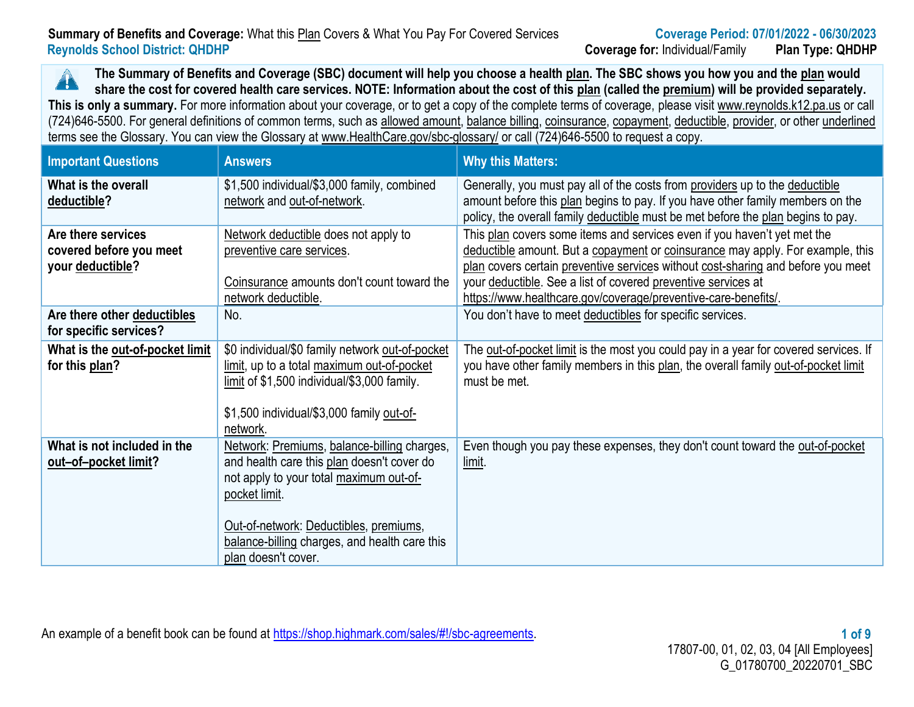### **Summary of Benefits and Coverage:** What this Plan Covers & What You Pay For Covered Services **Coverage Period: 07/01/2022 - 06/30/2023 Reynolds School District: QHDHP Coverage for:** Individual/Family **Plan Type: QHDHP**

**The Summary of Benefits and Coverage (SBC) document will help you choose a health plan. The SBC shows you how you and the plan would**   $\blacktriangle$ **share the cost for covered health care services. NOTE: Information about the cost of this plan (called the premium) will be provided separately.** This is only a summary. For more information about your coverage, or to get a copy of the complete terms of coverage, please visit www.reynolds.k12.pa.us or call (724)646-5500. For general definitions of common terms, such as allowed amount, balance billing, coinsurance, copayment, deductible, provider, or other underlined terms see the Glossary. You can view the Glossary at [www.HealthCare.gov/sbc-glossary/](http://www.healthcare.gov/sbc-glossary/) or call (724)646-5500 to request a copy.

| <b>Important Questions</b>                                        | <b>Answers</b>                                                                                                                                                                                                                                                          | <b>Why this Matters:</b>                                                                                                                                                                                                                                                                                                                                                          |
|-------------------------------------------------------------------|-------------------------------------------------------------------------------------------------------------------------------------------------------------------------------------------------------------------------------------------------------------------------|-----------------------------------------------------------------------------------------------------------------------------------------------------------------------------------------------------------------------------------------------------------------------------------------------------------------------------------------------------------------------------------|
| What is the overall<br>deductible?                                | \$1,500 individual/\$3,000 family, combined<br>network and out-of-network.                                                                                                                                                                                              | Generally, you must pay all of the costs from providers up to the deductible<br>amount before this plan begins to pay. If you have other family members on the<br>policy, the overall family deductible must be met before the plan begins to pay.                                                                                                                                |
| Are there services<br>covered before you meet<br>your deductible? | Network deductible does not apply to<br>preventive care services.<br>Coinsurance amounts don't count toward the<br>network deductible.                                                                                                                                  | This plan covers some items and services even if you haven't yet met the<br>deductible amount. But a copayment or coinsurance may apply. For example, this<br>plan covers certain preventive services without cost-sharing and before you meet<br>your deductible. See a list of covered preventive services at<br>https://www.healthcare.gov/coverage/preventive-care-benefits/. |
| Are there other deductibles<br>for specific services?             | No.                                                                                                                                                                                                                                                                     | You don't have to meet deductibles for specific services.                                                                                                                                                                                                                                                                                                                         |
| What is the out-of-pocket limit<br>for this plan?                 | \$0 individual/\$0 family network out-of-pocket<br>limit, up to a total maximum out-of-pocket<br>limit of \$1,500 individual/\$3,000 family.<br>\$1,500 individual/\$3,000 family out-of-<br>network.                                                                   | The out-of-pocket limit is the most you could pay in a year for covered services. If<br>you have other family members in this plan, the overall family out-of-pocket limit<br>must be met.                                                                                                                                                                                        |
| What is not included in the<br>out-of-pocket limit?               | Network: Premiums, balance-billing charges,<br>and health care this plan doesn't cover do<br>not apply to your total maximum out-of-<br>pocket limit.<br>Out-of-network: Deductibles, premiums,<br>balance-billing charges, and health care this<br>plan doesn't cover. | Even though you pay these expenses, they don't count toward the out-of-pocket<br><u>limit</u> .                                                                                                                                                                                                                                                                                   |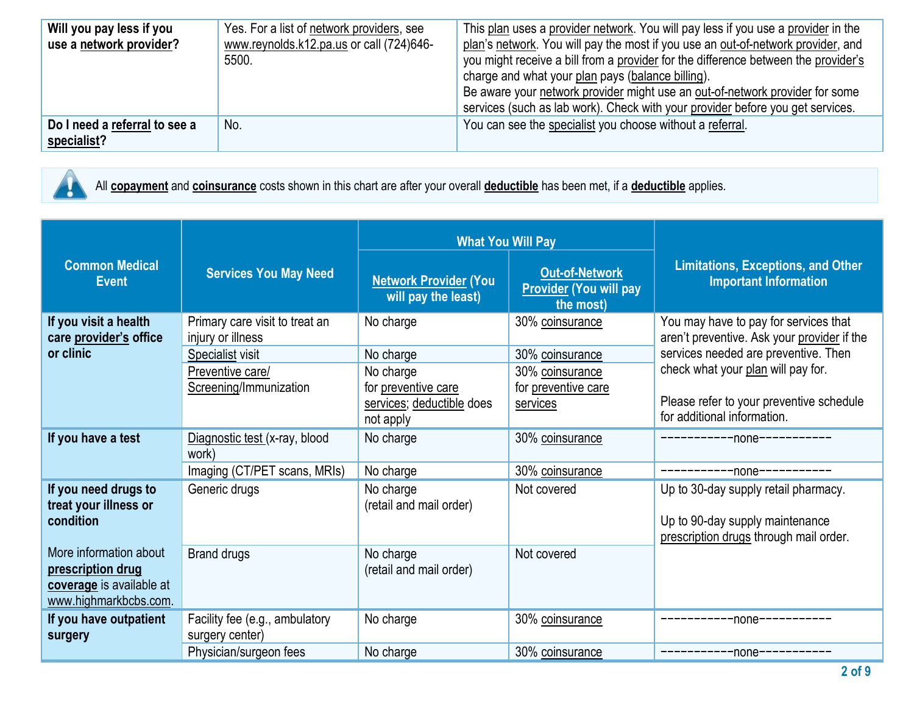| Do I need a referral to see a<br>specialist? | No.                                               | Be aware your network provider might use an out-of-network provider for some<br>services (such as lab work). Check with your provider before you get services.<br>You can see the specialist you choose without a referral. |
|----------------------------------------------|---------------------------------------------------|-----------------------------------------------------------------------------------------------------------------------------------------------------------------------------------------------------------------------------|
| use a network provider?                      | www.reynolds.k12.pa.us or call (724)646-<br>5500. | plan's network. You will pay the most if you use an out-of-network provider, and<br>you might receive a bill from a provider for the difference between the provider's<br>charge and what your plan pays (balance billing). |
| Will you pay less if you                     | Yes. For a list of network providers, see         | This plan uses a provider network. You will pay less if you use a provider in the                                                                                                                                           |

All **copayment** and **coinsurance** costs shown in this chart are after your overall **deductible** has been met, if a **deductible** applies.

|                                                   |                                                     | <b>What You Will Pay</b>                            |                                                                     |                                                                                      |
|---------------------------------------------------|-----------------------------------------------------|-----------------------------------------------------|---------------------------------------------------------------------|--------------------------------------------------------------------------------------|
| <b>Common Medical</b><br><b>Event</b>             | <b>Services You May Need</b>                        | <b>Network Provider (You</b><br>will pay the least) | <b>Out-of-Network</b><br><b>Provider (You will pay</b><br>the most) | <b>Limitations, Exceptions, and Other</b><br><b>Important Information</b>            |
| If you visit a health<br>care provider's office   | Primary care visit to treat an<br>injury or illness | No charge                                           | 30% coinsurance                                                     | You may have to pay for services that<br>aren't preventive. Ask your provider if the |
| or clinic                                         | <b>Specialist visit</b>                             | No charge                                           | 30% coinsurance                                                     | services needed are preventive. Then                                                 |
|                                                   | Preventive care/                                    | No charge                                           | 30% coinsurance                                                     | check what your plan will pay for.                                                   |
|                                                   | Screening/Immunization                              | for preventive care                                 | for preventive care                                                 |                                                                                      |
|                                                   |                                                     | services; deductible does<br>not apply              | services                                                            | Please refer to your preventive schedule<br>for additional information.              |
| If you have a test                                | Diagnostic test (x-ray, blood<br>work)              | No charge                                           | 30% coinsurance                                                     | -----------none-----------                                                           |
|                                                   | Imaging (CT/PET scans, MRIs)                        | No charge                                           | 30% coinsurance                                                     |                                                                                      |
| If you need drugs to                              | Generic drugs                                       | No charge                                           | Not covered                                                         | Up to 30-day supply retail pharmacy.                                                 |
| treat your illness or<br>condition                |                                                     | (retail and mail order)                             |                                                                     | Up to 90-day supply maintenance<br>prescription drugs through mail order.            |
| More information about                            | <b>Brand drugs</b>                                  | No charge                                           | Not covered                                                         |                                                                                      |
| prescription drug                                 |                                                     | (retail and mail order)                             |                                                                     |                                                                                      |
| coverage is available at<br>www.highmarkbcbs.com. |                                                     |                                                     |                                                                     |                                                                                      |
| If you have outpatient                            | Facility fee (e.g., ambulatory                      | No charge                                           | 30% coinsurance                                                     | -----------none---------                                                             |
| surgery                                           | surgery center)                                     |                                                     |                                                                     |                                                                                      |
|                                                   | Physician/surgeon fees                              | No charge                                           | 30% coinsurance                                                     | ------------none-----------                                                          |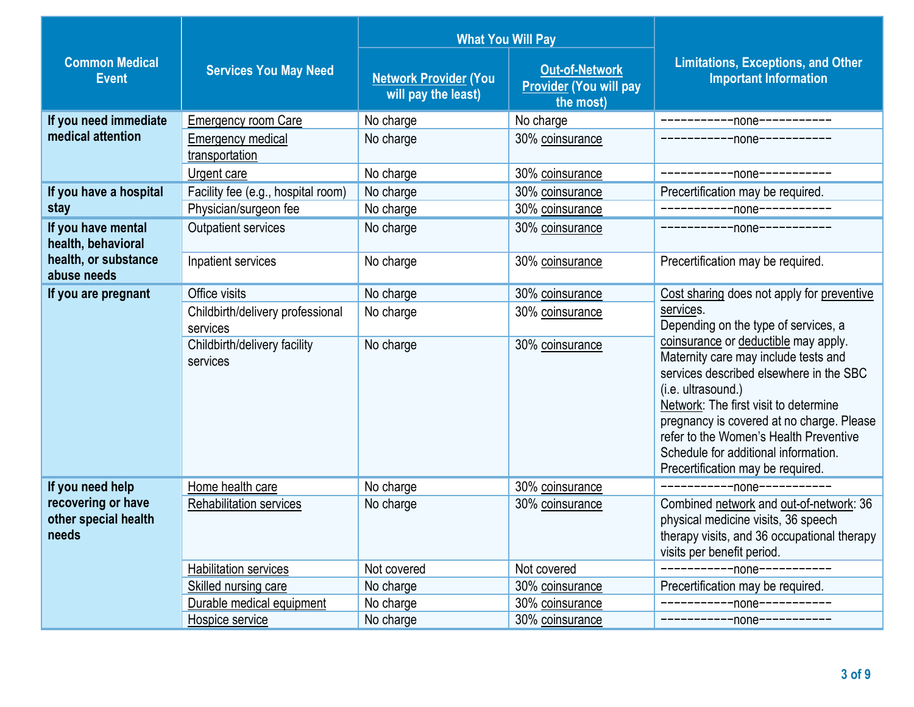|                                                     |                                              | <b>What You Will Pay</b>                            |                                                                     |                                                                                                                                                                                                                                                                                                                                                            |  |
|-----------------------------------------------------|----------------------------------------------|-----------------------------------------------------|---------------------------------------------------------------------|------------------------------------------------------------------------------------------------------------------------------------------------------------------------------------------------------------------------------------------------------------------------------------------------------------------------------------------------------------|--|
| <b>Common Medical</b><br><b>Event</b>               | <b>Services You May Need</b>                 | <b>Network Provider (You</b><br>will pay the least) | <b>Out-of-Network</b><br><b>Provider (You will pay</b><br>the most) | <b>Limitations, Exceptions, and Other</b><br><b>Important Information</b>                                                                                                                                                                                                                                                                                  |  |
| If you need immediate                               | <b>Emergency room Care</b>                   | No charge                                           | No charge                                                           | -----------none-----------                                                                                                                                                                                                                                                                                                                                 |  |
| medical attention                                   | <b>Emergency medical</b><br>transportation   | No charge                                           | 30% coinsurance                                                     | -----------none-----------                                                                                                                                                                                                                                                                                                                                 |  |
|                                                     | Urgent care                                  | No charge                                           | 30% coinsurance                                                     | ------------none-----------                                                                                                                                                                                                                                                                                                                                |  |
| If you have a hospital                              | Facility fee (e.g., hospital room)           | No charge                                           | 30% coinsurance                                                     | Precertification may be required.                                                                                                                                                                                                                                                                                                                          |  |
| stay                                                | Physician/surgeon fee                        | No charge                                           | 30% coinsurance                                                     | -----------none-----------                                                                                                                                                                                                                                                                                                                                 |  |
| If you have mental<br>health, behavioral            | <b>Outpatient services</b>                   | No charge                                           | 30% coinsurance                                                     | ------------none-----------                                                                                                                                                                                                                                                                                                                                |  |
| health, or substance<br>abuse needs                 | Inpatient services                           | No charge                                           | 30% coinsurance                                                     | Precertification may be required.                                                                                                                                                                                                                                                                                                                          |  |
| If you are pregnant                                 | Office visits                                | No charge                                           | 30% coinsurance                                                     | Cost sharing does not apply for preventive                                                                                                                                                                                                                                                                                                                 |  |
|                                                     | Childbirth/delivery professional<br>services | No charge                                           | 30% coinsurance                                                     | services.<br>Depending on the type of services, a                                                                                                                                                                                                                                                                                                          |  |
|                                                     | Childbirth/delivery facility<br>services     | No charge                                           | 30% coinsurance                                                     | coinsurance or deductible may apply.<br>Maternity care may include tests and<br>services described elsewhere in the SBC<br>(i.e. ultrasound.)<br>Network: The first visit to determine<br>pregnancy is covered at no charge. Please<br>refer to the Women's Health Preventive<br>Schedule for additional information.<br>Precertification may be required. |  |
| If you need help                                    | Home health care                             | No charge                                           | 30% coinsurance                                                     | -----------none-----------                                                                                                                                                                                                                                                                                                                                 |  |
| recovering or have<br>other special health<br>needs | <b>Rehabilitation services</b>               | No charge                                           | 30% coinsurance                                                     | Combined network and out-of-network: 36<br>physical medicine visits, 36 speech<br>therapy visits, and 36 occupational therapy<br>visits per benefit period.                                                                                                                                                                                                |  |
|                                                     | <b>Habilitation services</b>                 | Not covered                                         | Not covered                                                         | -----none-----------                                                                                                                                                                                                                                                                                                                                       |  |
|                                                     | Skilled nursing care                         | No charge                                           | 30% coinsurance                                                     | Precertification may be required.                                                                                                                                                                                                                                                                                                                          |  |
|                                                     | Durable medical equipment                    | No charge                                           | 30% coinsurance                                                     | ------------none-----------                                                                                                                                                                                                                                                                                                                                |  |
|                                                     | Hospice service                              | No charge                                           | 30% coinsurance                                                     | -----------none-----------                                                                                                                                                                                                                                                                                                                                 |  |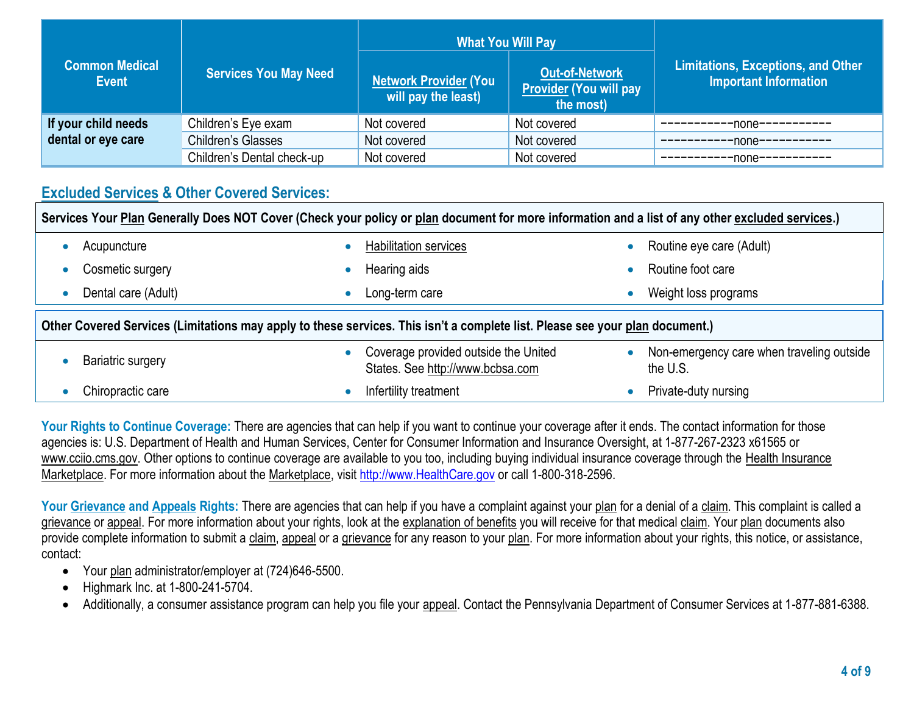| <b>Common Medical</b><br><b>Event</b> | <b>Services You May Need</b> | <b>What You Will Pay</b><br><b>Network Provider (You</b><br>will pay the least) | <b>Out-of-Network</b><br><b>Provider (You will pay</b><br>the most) | <b>Limitations, Exceptions, and Other</b><br><b>Important Information</b> |  |
|---------------------------------------|------------------------------|---------------------------------------------------------------------------------|---------------------------------------------------------------------|---------------------------------------------------------------------------|--|
| If your child needs                   | Children's Eye exam          | Not covered                                                                     | Not covered                                                         | -none-                                                                    |  |
| dental or eye care                    | <b>Children's Glasses</b>    | Not covered                                                                     | Not covered                                                         | -none-                                                                    |  |
|                                       | Children's Dental check-up   | Not covered                                                                     | Not covered                                                         | -none-                                                                    |  |

# **Excluded Services & Other Covered Services:**

| Services Your Plan Generally Does NOT Cover (Check your policy or plan document for more information and a list of any other excluded services.) |                                                                                       |                                                       |  |  |
|--------------------------------------------------------------------------------------------------------------------------------------------------|---------------------------------------------------------------------------------------|-------------------------------------------------------|--|--|
| Acupuncture                                                                                                                                      | <b>Habilitation services</b>                                                          | Routine eye care (Adult)                              |  |  |
| Cosmetic surgery                                                                                                                                 | Hearing aids                                                                          | Routine foot care                                     |  |  |
| Dental care (Adult)<br>$\bullet$                                                                                                                 | Long-term care<br>O                                                                   | Weight loss programs                                  |  |  |
| Other Covered Services (Limitations may apply to these services. This isn't a complete list. Please see your plan document.)                     |                                                                                       |                                                       |  |  |
| Bariatric surgery                                                                                                                                | Coverage provided outside the United<br>$\bullet$<br>States. See http://www.bcbsa.com | Non-emergency care when traveling outside<br>the U.S. |  |  |
| Chiropractic care                                                                                                                                | Infertility treatment                                                                 | Private-duty nursing                                  |  |  |

Your Rights to Continue Coverage: There are agencies that can help if you want to continue your coverage after it ends. The contact information for those agencies is: U.S. Department of Health and Human Services, Center for Consumer Information and Insurance Oversight, at 1-877-267-2323 x61565 or www.cciio.cms.gov. Other options to continue coverage are available to you too, including buying individual insurance coverage through the Health Insurance Marketplace. For more information about the Marketplace, visi[t http://www.HealthCare.gov](http://www.healthcare.gov/) or call 1-800-318-2596.

Your Grievance and Appeals Rights: There are agencies that can help if you have a complaint against your plan for a denial of a claim. This complaint is called a grievance or appeal. For more information about your rights, look at the explanation of benefits you will receive for that medical claim. Your plan documents also provide complete information to submit a claim, appeal or a grievance for any reason to your plan. For more information about your rights, this notice, or assistance, contact:

- Your plan administrator/employer at (724)646-5500.
- Highmark Inc. at 1-800-241-5704.
- Additionally, a consumer assistance program can help you file your appeal. Contact the Pennsylvania Department of Consumer Services at 1-877-881-6388.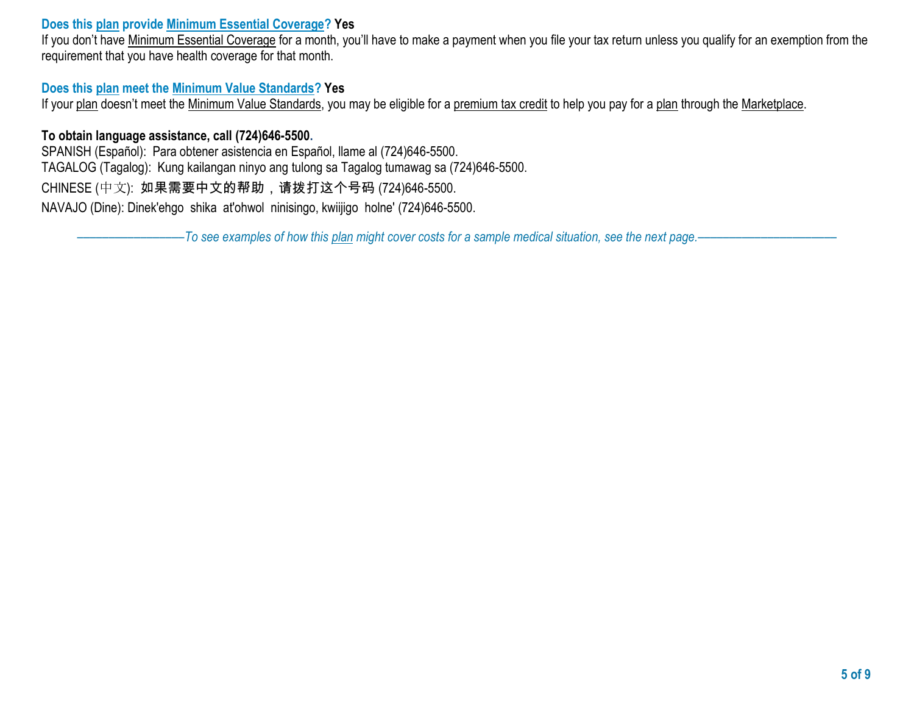### **Does this plan provide Minimum Essential Coverage? Yes**

If you don't have Minimum Essential Coverage for a month, you'll have to make a payment when you file your tax return unless you qualify for an exemption from the requirement that you have health coverage for that month.

# **Does this plan meet the Minimum Value Standards? Yes**

If your plan doesn't meet the Minimum Value Standards, you may be eligible for a premium tax credit to help you pay for a plan through the Marketplace.

# **To obtain language assistance, call (724)646-5500.**

SPANISH (Español): Para obtener asistencia en Español, llame al (724)646-5500. TAGALOG (Tagalog): Kung kailangan ninyo ang tulong sa Tagalog tumawag sa (724)646-5500. CHINESE (中文): 如果需要中文的帮助,请拨打这个号码 (724)646-5500. NAVAJO (Dine): Dinek'ehgo shika at'ohwol ninisingo, kwiijigo holne' (724)646-5500.

–––––––––––––––––*To see examples of how this plan might cover costs for a sample medical situation, see the next page.–––––––––––*–––––––––––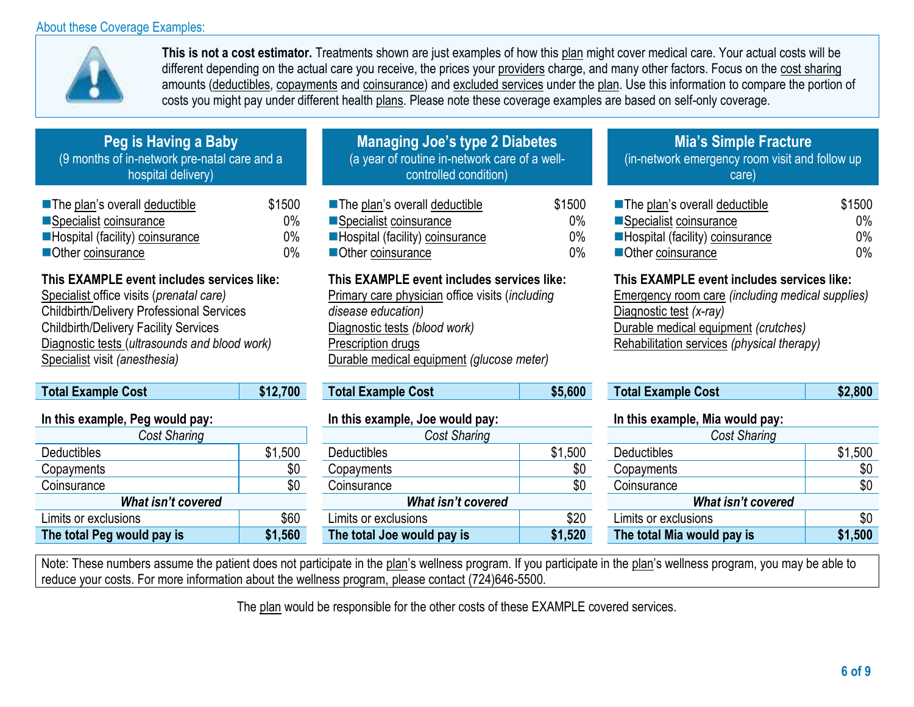### About these Coverage Examples:



**This is not a cost estimator.** Treatments shown are just examples of how this plan might cover medical care. Your actual costs will be different depending on the actual care you receive, the prices your providers charge, and many other factors. Focus on the cost sharing amounts (deductibles, copayments and coinsurance) and excluded services under the plan. Use this information to compare the portion of costs you might pay under different health plans. Please note these coverage examples are based on self-only coverage.

> 0% 0% 0%

| Peg is Having a Baby                         |
|----------------------------------------------|
| (9 months of in-network pre-natal care and a |
| hospital delivery)                           |

| The plan's overall deductible   | \$1500 |
|---------------------------------|--------|
| Specialist coinsurance          | $0\%$  |
| Hospital (facility) coinsurance | $0\%$  |
| Other coinsurance               | $0\%$  |

# **This EXAMPLE event includes services like:**

Specialist office visits (*prenatal care)*  Childbirth/Delivery Professional Services Childbirth/Delivery Facility Services Diagnostic tests (*ultrasounds and blood work)*  Specialist visit *(anesthesia)*

| <b>Total Example Cost</b>       | \$12,700 |  |  |
|---------------------------------|----------|--|--|
| In this example, Peg would pay: |          |  |  |
| Cost Sharing                    |          |  |  |
| <b>Deductibles</b>              | \$1,500  |  |  |
| Copayments                      | \$0      |  |  |
| Coinsurance                     | SC       |  |  |
| <b>What isn't covered</b>       |          |  |  |
| Limits or exclusions            | \$60     |  |  |
| The total Peg would pay is      | \$1,560  |  |  |

| <b>Managing Joe's type 2 Diabetes</b>         |
|-----------------------------------------------|
| (a year of routine in-network care of a well- |
| controlled condition)                         |

■ The plan's overall deductible ■Specialist coinsurance ■Hospital (facility) coinsurance ■Other coinsurance \$1500

### **This EXAMPLE event includes services like:**

Primary care physician office visits (*including disease education)*  Diagnostic tests *(blood work)*  Prescription drugs Durable medical equipment *(glucose meter)*

| <b>Total Example Cost</b> | \$5,60 |
|---------------------------|--------|
|---------------------------|--------|

| Cost Sharing               |         | Cost Sharing               |         | Cost Sharing               |         |
|----------------------------|---------|----------------------------|---------|----------------------------|---------|
| <b>Deductibles</b>         | \$1,500 | <b>Deductibles</b>         | \$1,500 | <b>Deductibles</b>         | \$1,500 |
| Copayments                 | \$0     | Copayments                 | \$0     | Copayments                 | \$0     |
| Coinsurance                | \$0     | Coinsurance                | \$0     | Coinsurance                | \$0     |
| What isn't covered         |         | What isn't covered         |         | What isn't covered         |         |
| Limits or exclusions       | \$60    | Limits or exclusions       | \$20    | Limits or exclusions       | \$0     |
| The total Peg would pay is | \$1,560 | The total Joe would pay is | \$1,520 | The total Mia would pay is | \$1,500 |

# **Mia's Simple Fracture**

(in-network emergency room visit and follow up care)

| ■ The plan's overall deductible | \$1500 |
|---------------------------------|--------|
| Specialist coinsurance          | $0\%$  |
| Hospital (facility) coinsurance | $0\%$  |
| Other coinsurance               | $0\%$  |

# **This EXAMPLE event includes services like:**

Emergency room care *(including medical supplies)* Diagnostic test *(x-ray)*  Durable medical equipment *(crutches)*  Rehabilitation services *(physical therapy)*

| Total Example Cost | \$12,700 | <b>Total Example Cost</b> | \$5,600 | Cost<br><b>Total Example</b> | 2,800 |
|--------------------|----------|---------------------------|---------|------------------------------|-------|
|--------------------|----------|---------------------------|---------|------------------------------|-------|

#### **In this example, Peg would pay: In this example, Joe would pay: In this example, Mia would pay:**

| <b>Cost Sharing</b>        |         |  |  |  |  |
|----------------------------|---------|--|--|--|--|
| <b>Deductibles</b>         | \$1,500 |  |  |  |  |
| Copayments                 | \$0     |  |  |  |  |
| Coinsurance                | \$0     |  |  |  |  |
| <b>What isn't covered</b>  |         |  |  |  |  |
| Limits or exclusions       | \$0     |  |  |  |  |
| The total Mia would pay is | \$1,500 |  |  |  |  |

Note: These numbers assume the patient does not participate in the plan's wellness program. If you participate in the plan's wellness program, you may be able to reduce your costs. For more information about the wellness program, please contact (724)646-5500.

The plan would be responsible for the other costs of these EXAMPLE covered services.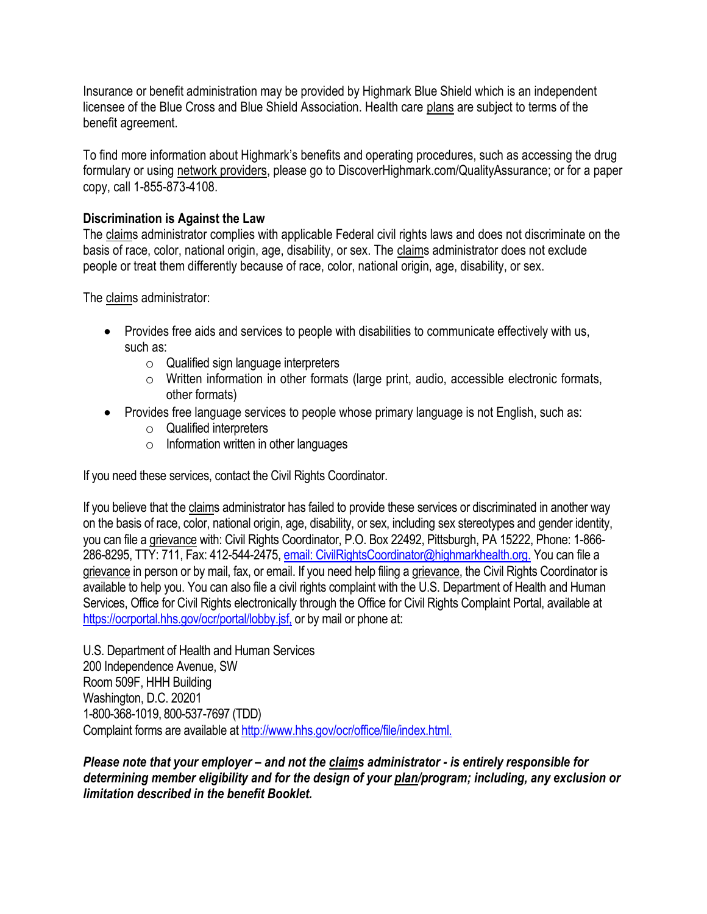Insurance or benefit administration may be provided by Highmark Blue Shield which is an independent licensee of the Blue Cross and Blue Shield Association. Health care plans are subject to terms of the benefit agreement.

To find more information about Highmark's benefits and operating procedures, such as accessing the drug formulary or using network providers, please go to DiscoverHighmark.com/QualityAssurance; or for a paper copy, call 1-855-873-4108.

# **Discrimination is Against the Law**

The claims administrator complies with applicable Federal civil rights laws and does not discriminate on the basis of race, color, national origin, age, disability, or sex. The claims administrator does not exclude people or treat them differently because of race, color, national origin, age, disability, or sex.

The claims administrator:

- Provides free aids and services to people with disabilities to communicate effectively with us, such as:
	- o Qualified sign language interpreters
	- o Written information in other formats (large print, audio, accessible electronic formats, other formats)
- Provides free language services to people whose primary language is not English, such as:
	- o Qualified interpreters
	- $\circ$  Information written in other languages

If you need these services, contact the Civil Rights Coordinator.

If you believe that the claims administrator has failed to provide these services or discriminated in another way on the basis of race, color, national origin, age, disability, or sex, including sex stereotypes and gender identity, you can file a grievance with: Civil Rights Coordinator, P.O. Box 22492, Pittsburgh, PA 15222, Phone: 1-866 286-8295, TTY: 711, Fax: 412-544-2475, [email: CivilRightsCoordinator@highmarkhealth.org.](mailto:CivilRightsCoordinator@highmarkhealth.org.) You can file a grievance in person or by mail, fax, or email. If you need help filing a grievance, the Civil Rights Coordinator is available to help you. You can also file a civil rights complaint with the U.S. Department of Health and Human Services, Office for Civil Rights electronically through the Office for Civil Rights Complaint Portal, available at <https://ocrportal.hhs.gov/ocr/portal/lobby.jsf,> or by mail or phone at:

U.S. Department of Health and Human Services 200 Independence Avenue, SW Room 509F, HHH Building Washington, D.C. 20201 1-800-368-1019, 800-537-7697 (TDD) Complaint forms are available at<http://www.hhs.gov/ocr/office/file/index.html.>

*Please note that your employer – and not the claims administrator - is entirely responsible for determining member eligibility and for the design of your plan/program; including, any exclusion or limitation described in the benefit Booklet.*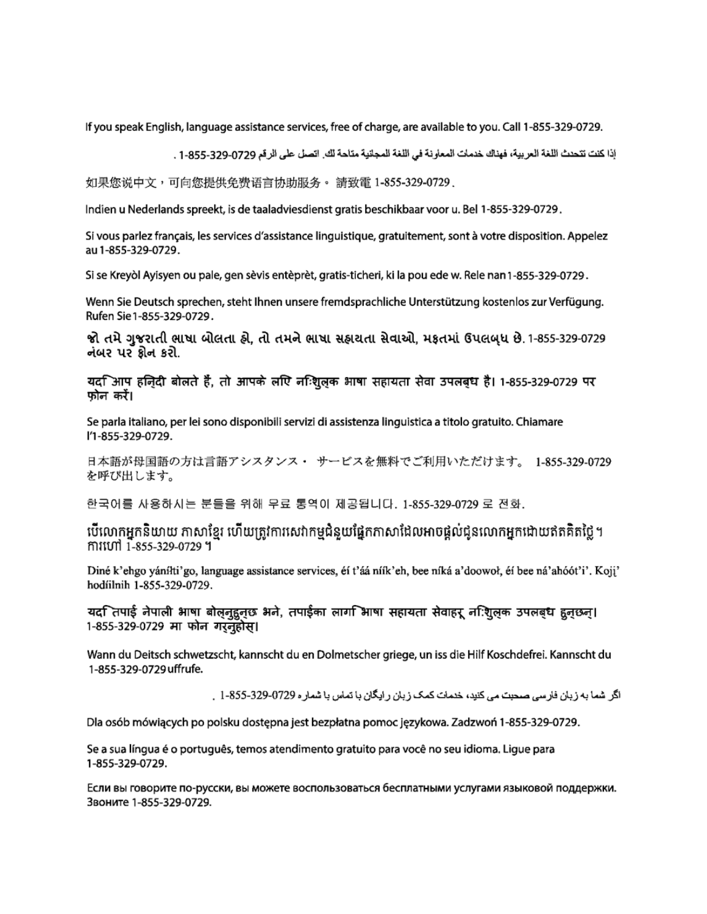If you speak English, language assistance services, free of charge, are available to you. Call 1-855-329-0729.

إذا كنت تتحدث اللغة العربية، فهناك خدمات المعاونة في اللغة المجلنية متاحة لك. اتصل على الرقم 0729-325-1-85 .

如果您说中文,可向您提供免费语言协助服务。 請致電 1-855-329-0729 .

Indien u Nederlands spreekt, is de taaladviesdienst gratis beschikbaar voor u. Bel 1-855-329-0729.

Si vous parlez français, les services d'assistance linguistique, gratuitement, sont à votre disposition. Appelez au 1-855-329-0729.

Si se Kreyòl Ayisyen ou pale, gen sèvis entèprèt, gratis-ticheri, ki la pou ede w. Rele nan 1-855-329-0729.

Wenn Sie Deutsch sprechen, steht Ihnen unsere fremdsprachliche Unterstützung kostenlos zur Verfügung. Rufen Sie 1-855-329-0729.

જો તમે ગુજરાતી ભાષા બોલતા હ્રો. તો તમને ભાષા સહ્રાયતા સેવાઓ. મકતમાં ઉપલબધ છે. 1-855-329-0729 નંબર પર ક્રોન કરો.

यद $\mathbb F$ आप हज़िदी बोलते हैं, तो आपके लपि नन्शि्लक भाषा सहायता सेवा उपलब्ध है। 1-855-329-0729 पर फोन करें।

Se parla italiano, per lei sono disponibili servizi di assistenza linguistica a titolo gratuito. Chiamare l'1-855-329-0729.

日本語が母国語の方は言語アシスタンス・ サービスを無料でご利用いただけます。 1-855-329-0729 を呼び出します。

한국어를 사용하시는 분들을 위해 무료 통역이 제공됩니다. 1-855-329-0729 로 전화.

បើលោកអ្នកនិយាយ ភាសាខ្មែរ ហើយត្រូវការសេវាកម្មជំនួយផ្នែកភាសាដែលអាចផ្តល់ជូនលោកអ្នកដោយឥតគិតថ្លៃ។ mituri 1-855-329-0729 ។

Diné k'ehgo yánílti'go, language assistance services, éí t'áá níík'eh, bee níká a'doowoł, éí bee ná'ahóót'i'. Koji' hodíilnih 1-855-329-0729.

यद ितपाई नेपाली भाषा बोलनुहुनुछ भने, तपाईका लाग िभाषा सहायता सेवाहरू न:िशुलक उपलबध हुनुछन्। 1-855-329-0729 मा फोन गरनुहोस।

Wann du Deitsch schwetzscht, kannscht du en Dolmetscher griege, un iss die Hilf Koschdefrei. Kannscht du 1-855-329-0729 uffrufe.

اگر اشما به زبان فارسی صحبت می کنید، خدمات کمک زبان رایگان با تماس با شمار ه 0729-329-325 . .

Dla osób mówiących po polsku dostępna jest bezpłatna pomoc językowa. Zadzwoń 1-855-329-0729.

Se a sua língua é o português, temos atendimento gratuito para você no seu idioma. Ligue para 1-855-329-0729.

Если вы говорите по-русски, вы можете воспользоваться бесплатными услугами языковой поддержки. Звоните 1-855-329-0729.